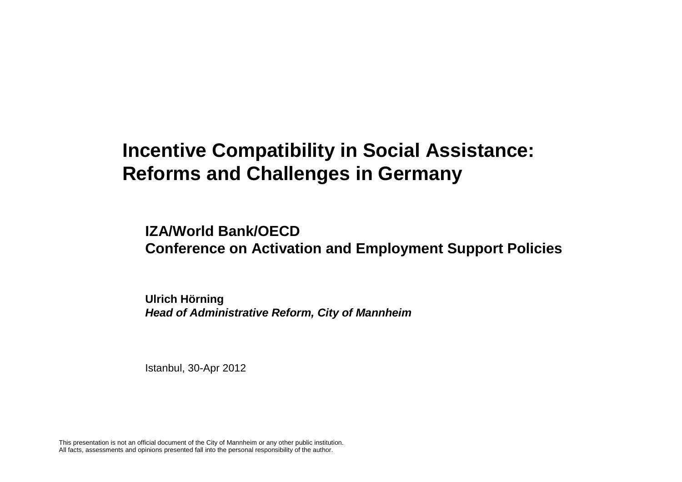**IZA/World Bank/OECD Conference on Activation and Employment Support Policies**

**Ulrich HörningHead of Administrative Reform, City of Mannheim**

Istanbul, 30-Apr 2012

This presentation is not an official document of the City of Mannheim or any other public institution.All facts, assessments and opinions presented fall into the personal responsibility of the author.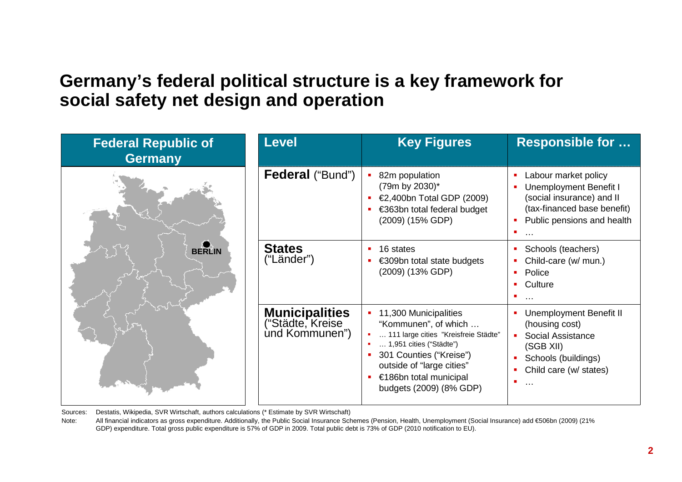#### **Germany's federal political structure is a key framework for social safety net design and operation**



Sources: Destatis, Wikipedia, SVR Wirtschaft, authors calculations (\* Estimate by SVR Wirtschaft)

Note: All financial indicators as gross expenditure. Additionally, the Public Social Insurance Schemes (Pension, Health, Unemployment (Social Insurance) add €506bn (2009) (21% GDP) expenditure. Total gross public expenditure is 57% of GDP in 2009. Total public debt is 73% of GDP (2010 notification to EU).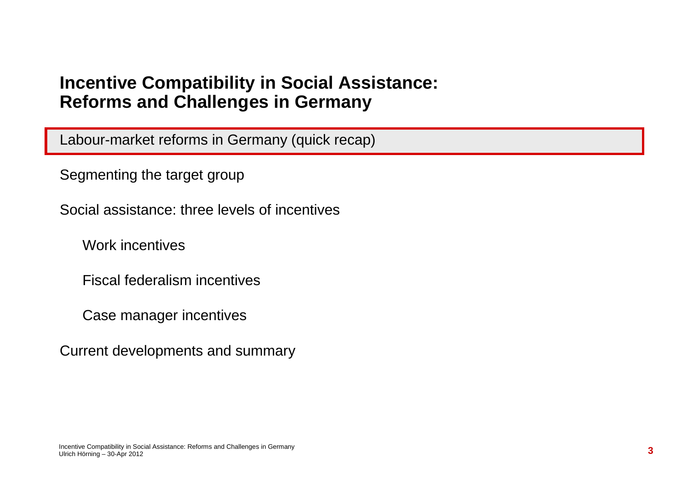Labour-market reforms in Germany (quick recap)

Segmenting the target group

Social assistance: three levels of incentives

Work incentives

Fiscal federalism incentives

Case manager incentives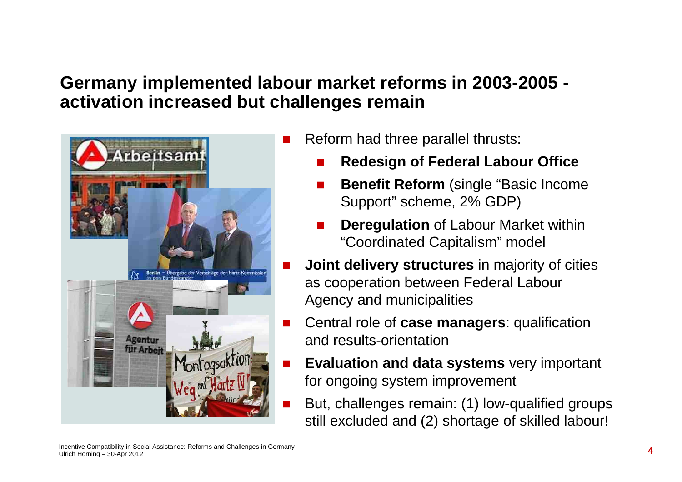### **Germany implemented labour market reforms in 2003-2005 activation increased but challenges remain**



- Reform had three parallel thrusts:
	- -**Redesign of Federal Labour Office**
	- -**Benefit Reform** (single "Basic Income Support" scheme, 2% GDP)
	- - **Deregulation** of Labour Market within "Coordinated Capitalism" model
- **Joint delivery structures** in majority of cities as cooperation between Federal Labour Agency and municipalities
- - Central role of **case managers**: qualification and results-orientation
- - **Evaluation and data systems** very important for ongoing system improvement
	- But, challenges remain: (1) low-qualified groups still excluded and (2) shortage of skilled labour!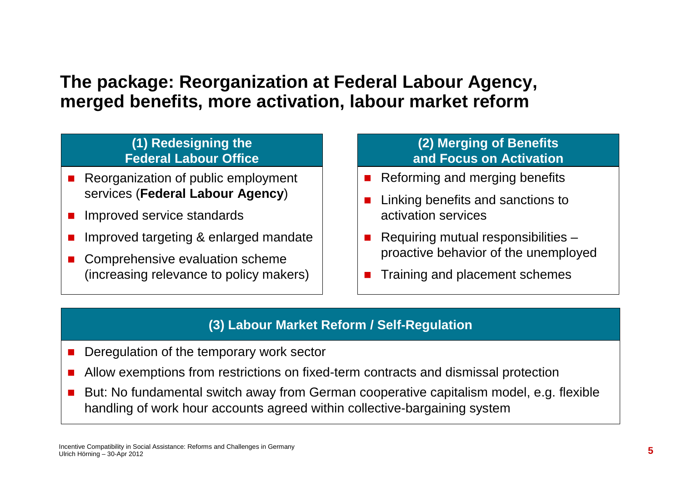### **The package: Reorganization at Federal Labour Agency, merged benefits, more activation, labour market reform**

#### **(1) Redesigning the Federal Labour Office**

- - Reorganization of public employment services (**Federal Labour Agency**)
- -Improved service standards
- -Improved targeting & enlarged mandate
- - Comprehensive evaluation scheme (increasing relevance to policy makers)

#### **(2) Merging of Benefits and Focus on Activation**

- -Reforming and merging benefits
- - Linking benefits and sanctions to activation services
- - Requiring mutual responsibilities – proactive behavior of the unemployed
- -Training and placement schemes

#### **(3) Labour Market Reform / Self-Regulation**

- -Deregulation of the temporary work sector
- -Allow exemptions from restrictions on fixed-term contracts and dismissal protection
- - But: No fundamental switch away from German cooperative capitalism model, e.g. flexible handling of work hour accounts agreed within collective-bargaining system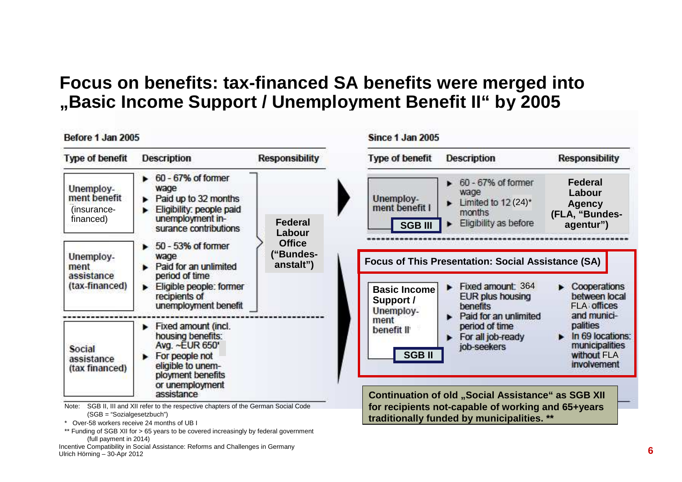### **Focus on benefits: tax-financed SA benefits were merged into "Basic Income Support / Unemployment Benefit II" by 2005**

| Before 1 Jan 2005                                                                  |                                                                                                                                                              |                                                                         | Since 1 Jan 2005                                 |                                                                                                                                          |                                                                                             |
|------------------------------------------------------------------------------------|--------------------------------------------------------------------------------------------------------------------------------------------------------------|-------------------------------------------------------------------------|--------------------------------------------------|------------------------------------------------------------------------------------------------------------------------------------------|---------------------------------------------------------------------------------------------|
| <b>Type of benefit</b>                                                             | <b>Description</b>                                                                                                                                           | <b>Responsibility</b>                                                   | <b>Type of benefit</b>                           | <b>Description</b>                                                                                                                       | <b>Responsibility</b>                                                                       |
| Unemploy-<br>ment benefit<br>(insurance-<br>financed)                              | 60 - 67% of former<br>wage<br>Paid up to 32 months<br>Eligibility: people paid<br>unemployment in-<br>surance contributions                                  | Federal<br>Labour                                                       | Unemploy-<br>ment benefit I<br><b>SGB III</b>    | 60 - 67% of former<br>wage<br>Limited to $12(24)^*$<br>months<br>Eligibility as before                                                   | <b>Federal</b><br>Labour<br><b>Agency</b><br>(FLA, "Bundes-<br>agentur")                    |
| Unemploy-<br>ment<br>assistance<br>(tax-financed)                                  | 50 - 53% of former<br>wage<br>Paid for an unlimited<br>period of time<br>Eligible people: former<br>►<br>recipients of<br>unemployment benefit               | <b>Office</b><br>("Bundes-<br>anstalt")<br><b>Integers out accepted</b> | <b>Basic Income</b><br>Support /<br>Unemploy-    | <b>Focus of This Presentation: Social Assistance (SA)</b><br>Fixed amount: 364<br><b>EUR plus housing</b><br>benefits                    | $\triangleright$ Cooperations<br>between local<br><b>FLA</b> offices                        |
| Social<br>assistance<br>(tax financed)                                             | Fixed amount (incl.<br>٠<br>housing benefits:<br>Avg. ~EUR 650'<br>For people not<br>eligible to unem-<br>ployment benefits<br>or unemployment<br>assistance |                                                                         | ment<br>benefit II <sup>t</sup><br><b>SGB II</b> | Paid for an unlimited<br>period of time<br>For all job-ready<br>job-seekers<br><b>Continuation of old "Social Assistance" as SGB XII</b> | and munici-<br>palities<br>In 69 locations:<br>municipalities<br>without FLA<br>involvement |
| Note:<br>$(SGB = "Sozialgesetzbuch")$<br>Over-58 workers receive 24 months of UB I | SGB II, III and XII refer to the respective chapters of the German Social Code                                                                               |                                                                         |                                                  | for recipients not-capable of working and 65+years<br>traditionally funded by municipalities. **                                         |                                                                                             |

\*\* Funding of SGB XII for > 65 years to be covered increasingly by federal government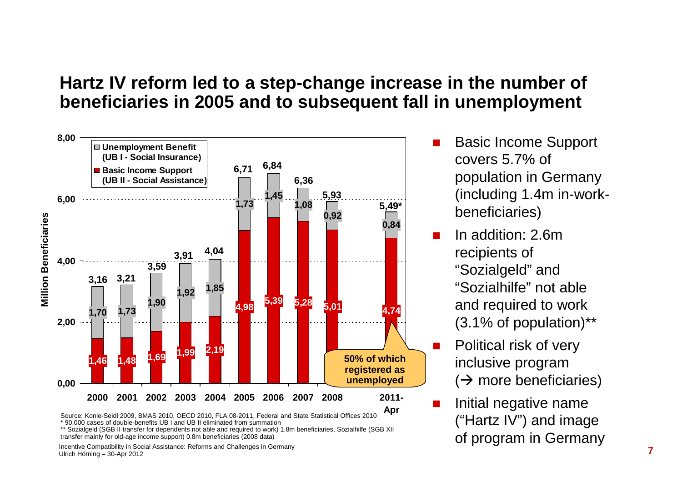#### **Hartz IV reform led to a step-change increase in the number of beneficiaries in 2005 and to subsequent fall in unemployment**



<sup>\* 90,000</sup> cases of double-benefits UB I and UB II eliminated from summation

- - Basic Income Support covers 5.7% of population in Germany (including 1.4m in-workbeneficiaries)
	- In addition: 2.6m recipients of "Sozialgeld" and "Sozialhilfe" not able and required to work (3.1% of population)\*\*

-

-

-

- Political risk of very inclusive program ( more beneficiaries)
- Initial negative name ("Hartz IV") and image of program in Germany

\*\* Sozialgeld (SGB II transfer for dependents not able and required to work) 1.8m beneficiaries, Sozialhilfe (SGB XII transfer mainly for old-age income support) 0.8m beneficiaries (2008 data)

Incentive Compatibility in Social Assistance: Reforms and Challenges in GermanyUlrich Hörning – 30-Apr 2012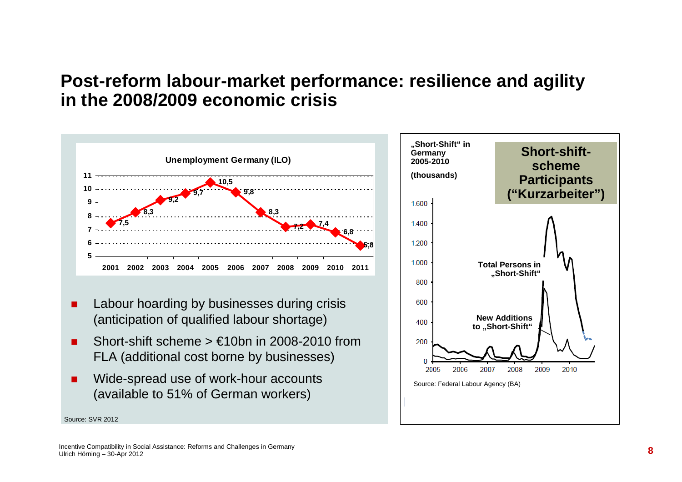#### **Post-reform labour-market performance: resilience and agility in the 2008/2009 economic crisis**



- - Labour hoarding by businesses during crisis (anticipation of qualified labour shortage)
- Short-shift scheme  $> \text{\textsterling}10$ bn in 2008-2010 from FLA (additional cost borne by businesses)
- Wide-spread use of work-hour accounts (available to 51% of German workers)



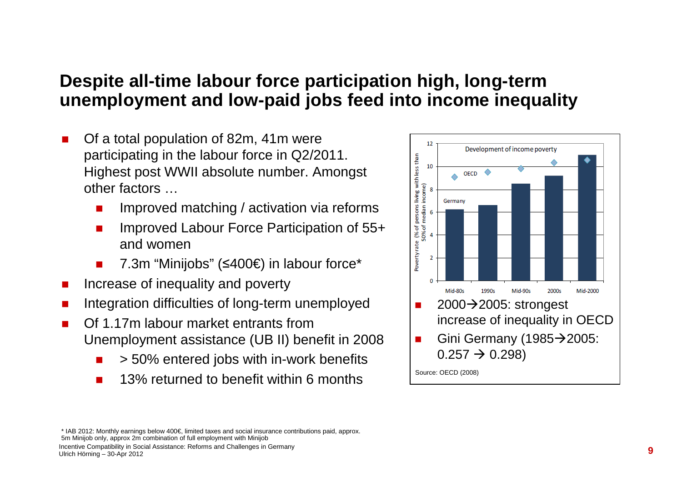### **Despite all-time labour force participation high, long-term unemployment and low-paid jobs feed into income inequality**

- - Of a total population of 82m, 41m were participating in the labour force in Q2/2011. Highest post WWII absolute number. Amongst other factors …
	- **IMPROVED matching / activation via reforms** -
	- - Improved Labour Force Participation of 55+ and women
	- -7.3m "Minijobs" (≤400€) in labour force\*
- -Increase of inequality and poverty
- -Integration difficulties of long-term unemployed
- - Of 1.17m labour market entrants from Unemployment assistance (UB II) benefit in 2008
	- -> 50% entered jobs with in-work benefits
	- -13% returned to benefit within 6 months



\* IAB 2012: Monthly earnings below 400€, limited taxes and social insurance contributions paid, approx.5m Minijob only, approx 2m combination of full employment with Minijob

Incentive Compatibility in Social Assistance: Reforms and Challenges in GermanyUlrich Hörning – 30-Apr 2012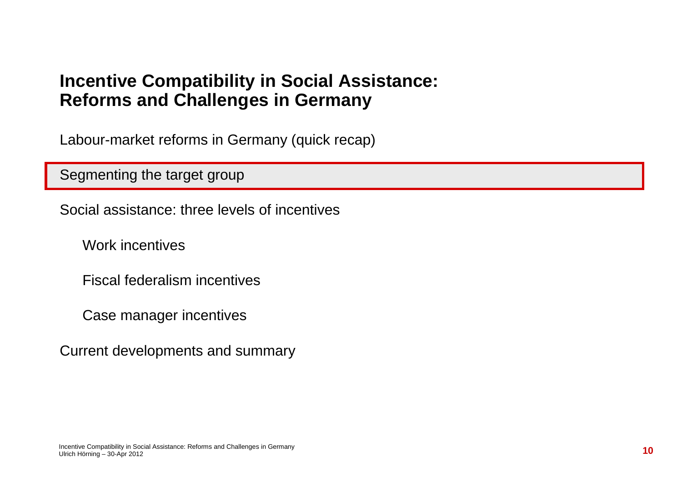Labour-market reforms in Germany (quick recap)

Segmenting the target group

Social assistance: three levels of incentives

Work incentives

Fiscal federalism incentives

Case manager incentives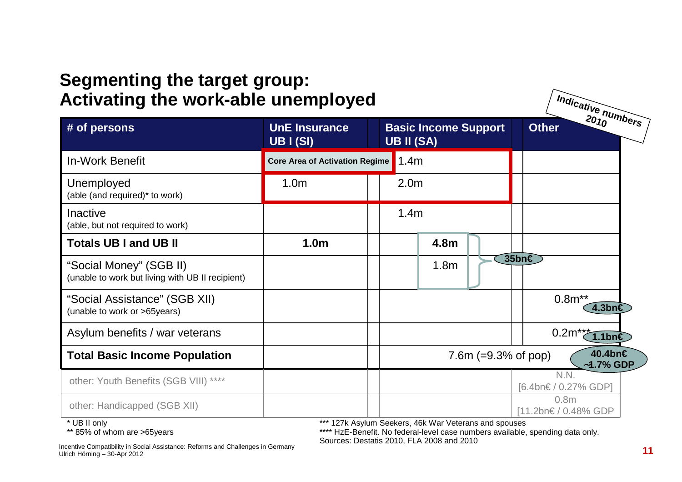#### **Segmenting the target group: Activating the work-able unemployed**

| <b>Activating the work-able unemployed</b>                                  | Indicative numbers                       |                                                          |                                          |
|-----------------------------------------------------------------------------|------------------------------------------|----------------------------------------------------------|------------------------------------------|
| # of persons                                                                | <b>UnE Insurance</b><br><b>UB I (SI)</b> | <b>Basic Income Support</b><br><b>UB II (SA)</b>         | <b>Other</b>                             |
| <b>In-Work Benefit</b>                                                      | <b>Core Area of Activation Regime</b>    | 1.4m                                                     |                                          |
| Unemployed<br>(able (and required)* to work)                                | 1.0 <sub>m</sub>                         | 2.0 <sub>m</sub>                                         |                                          |
| Inactive<br>(able, but not required to work)                                |                                          | 1.4m                                                     |                                          |
| <b>Totals UB I and UB II</b>                                                | 1.0 <sub>m</sub>                         | 4.8m                                                     |                                          |
| "Social Money" (SGB II)<br>(unable to work but living with UB II recipient) |                                          | 1.8 <sub>m</sub>                                         | $35$ bn $\epsilon$                       |
| "Social Assistance" (SGB XII)<br>(unable to work or >65years)               |                                          |                                                          | $0.8m^{**}$<br>4.3bn€                    |
| Asylum benefits / war veterans                                              |                                          |                                                          | 0.2 $m^{**}$<br>$1.1$ bn€                |
| <b>Total Basic Income Population</b>                                        |                                          | 7.6m $(=9.3\% \text{ of pop})$                           | 40.4bn€<br>$~1.7\%$ GDP                  |
| other: Youth Benefits (SGB VIII) ****                                       |                                          |                                                          | N.N.<br>[6.4bn€ / 0.27% GDP]             |
| other: Handicapped (SGB XII)<br>$*$ 110 $\pm$ 11 $*$ $\pm$ 1.               |                                          | *** $A OZL$ , $A = Lma$ , $D = Lma$ , $AOL$ , $M = MLka$ | 0.8 <sub>m</sub><br>[11.2bn€ / 0.48% GDP |

UB II only

\*\* 85% of whom are >65years

127k Asylum Seekers, 46k War Veterans and spouses

 \*\*\*\* HzE-Benefit. No federal-level case numbers available, spending data only.Sources: Destatis 2010, FLA 2008 and 2010

Incentive Compatibility in Social Assistance: Reforms and Challenges in GermanyUlrich Hörning – 30-Apr 2012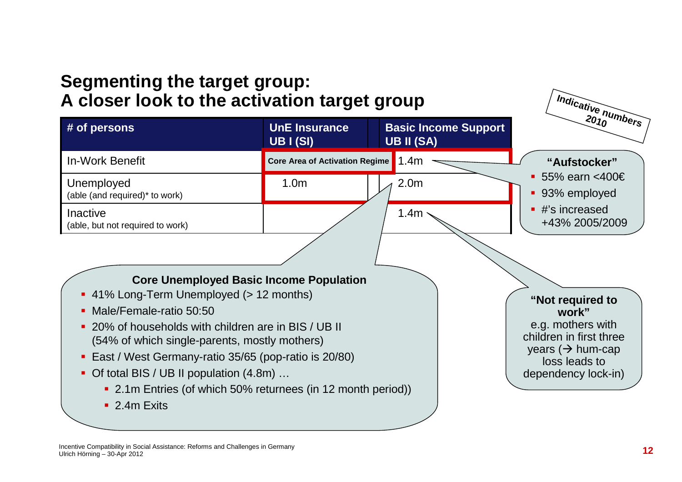### **Segmenting the target group: A closer look to the activation target group**

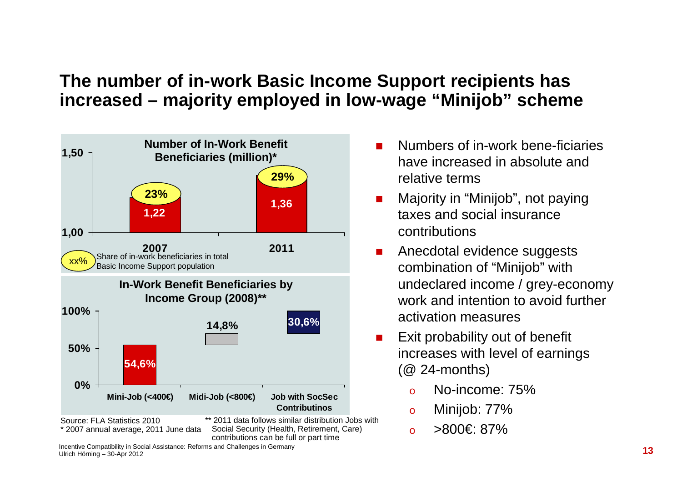### **The number of in-work Basic Income Support recipients has increased – majority employed in low-wage "Minijob" scheme**



Incentive Compatibility in Social Assistance: Reforms and Challenges in GermanyUlrich Hörning – 30-Apr 2012

- - Numbers of in-work bene-ficiaries have increased in absolute and relative terms
- - Majority in "Minijob", not paying taxes and social insurance contributions
- - Anecdotal evidence suggests combination of "Minijob" with undeclared income / grey-economy work and intention to avoid further activation measures
- - Exit probability out of benefit increases with level of earnings (@ 24-months)
	- oNo-income: 75%
	- oMinijob: 77%
	- >800€: 87%o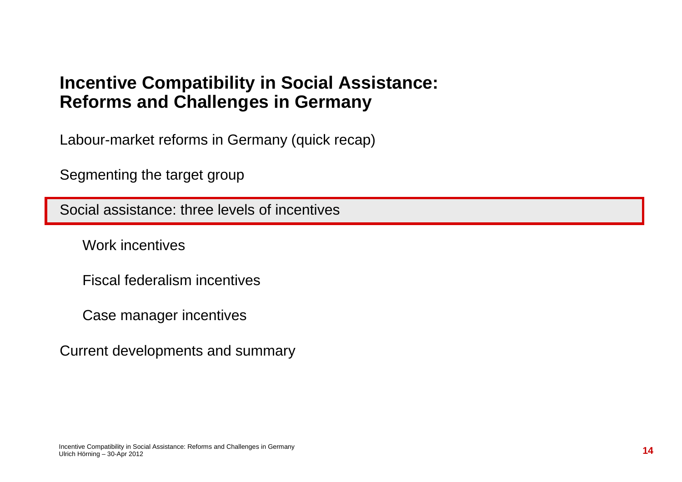Labour-market reforms in Germany (quick recap)

Segmenting the target group

Social assistance: three levels of incentives

Work incentives

Fiscal federalism incentives

Case manager incentives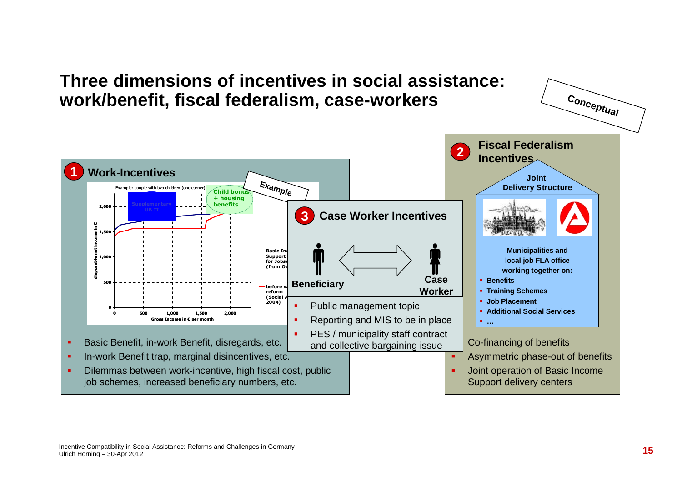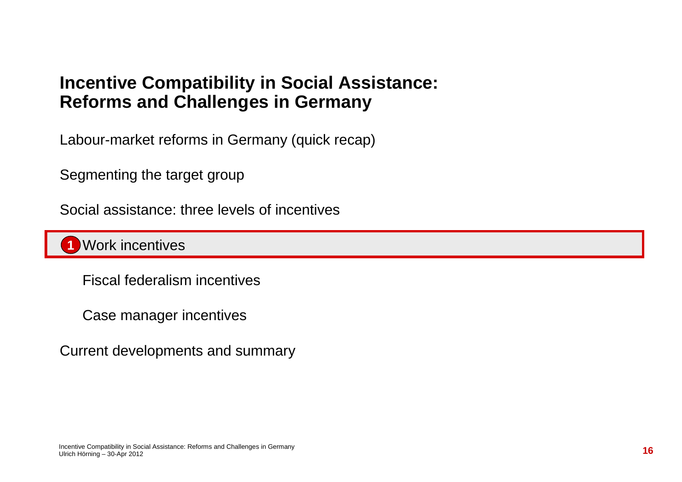Labour-market reforms in Germany (quick recap)

Segmenting the target group

Social assistance: three levels of incentives

Work incentives**1**

Fiscal federalism incentives

Case manager incentives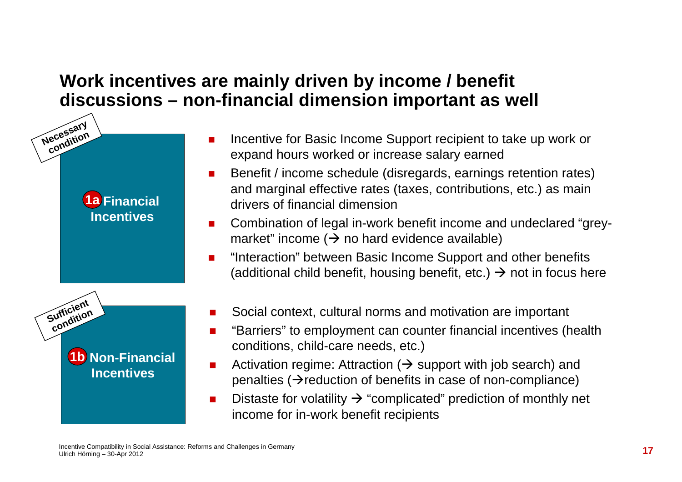### **Work incentives are mainly driven by income / benefit discussions – non-financial dimension important as well**

- Incentive for Basic Income Support recipient to take up work or expand hours worked or increase salary earned

- - Benefit / income schedule (disregards, earnings retention rates) and marginal effective rates (taxes, contributions, etc.) as main drivers of financial dimension
- - Combination of legal in-work benefit income and undeclared "greymarket" income (→ no hard evidence available)<br>"Interaction" het user Pasis Income Cunnert on
- - "Interaction" between Basic Income Support and other benefits (additional child benefit, housing benefit, etc.)  $\rightarrow$  not in focus here
- -Social context, cultural norms and motivation are important
- - "Barriers" to employment can counter financial incentives (health conditions, child-care needs, etc.)
- -Activation regime: Attraction ( $\rightarrow$  support with job search) and<br>nenalties ( $\rightarrow$ reduction of benefits in case of non-compliance) penalties ( $\rightarrow$  reduction of benefits in case of non-compliance)
- -Distaste for volatility  $\rightarrow$  "complicated" prediction of monthly net<br>income for in-work benefit recipients income for in-work benefit recipients

**1a Financial 1aIncentives**

**Necessary condition** 

Sufficient **condition** 

> **1b Non-Financial 1bIncentives**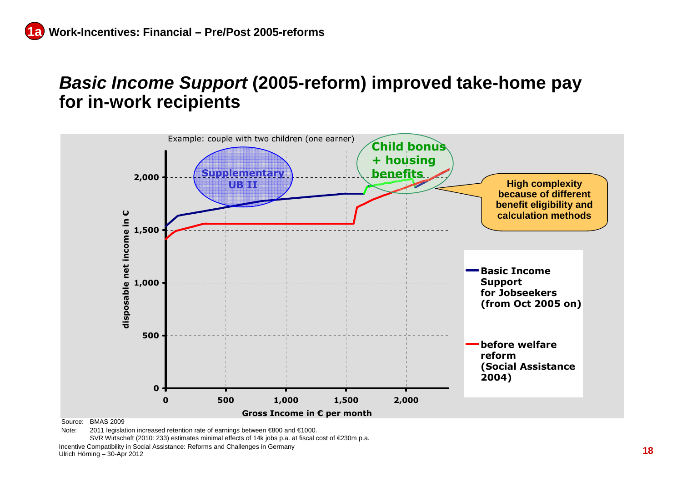#### **Basic Income Support (2005-reform) improved take-home pay for in-work recipients**



Source: BMAS 2009

SVR Wirtschaft (2010: 233) estimates minimal effects of 14k jobs p.a. at fiscal cost of €230m p.a.

Incentive Compatibility in Social Assistance: Reforms and Challenges in GermanyUlrich Hörning – 30-Apr 2012

Note: 2011 legislation increased retention rate of earnings between €800 and €1000.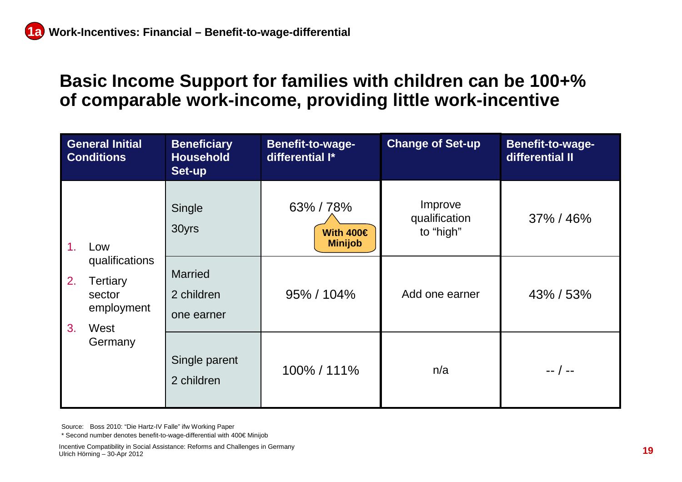#### **Basic Income Support for families with children can be 100+% of comparable work-income, providing little work-incentive**

| <b>General Initial</b><br><b>Conditions</b>                                        | <b>Beneficiary</b><br><b>Household</b><br>Set-up | Benefit-to-wage-<br>differential I*         | <b>Change of Set-up</b>               | Benefit-to-wage-<br>differential II |
|------------------------------------------------------------------------------------|--------------------------------------------------|---------------------------------------------|---------------------------------------|-------------------------------------|
| 1 <sub>1</sub><br>Low                                                              | Single<br>30yrs                                  | 63%/78%<br>With $400 \in$<br><b>Minijob</b> | Improve<br>qualification<br>to "high" | 37% / 46%                           |
| qualifications<br>2.<br>Tertiary<br>sector<br>employment<br>3 <sub>1</sub><br>West | <b>Married</b><br>2 children<br>one earner       | 95% / 104%                                  | Add one earner                        | 43% / 53%                           |
| Germany                                                                            | Single parent<br>2 children                      | 100% / 111%                                 | n/a                                   | -- / --                             |

Source: Boss 2010: "Die Hartz-IV Falle" ifw Working Paper

\* Second number denotes benefit-to-wage-differential with 400€ Minijob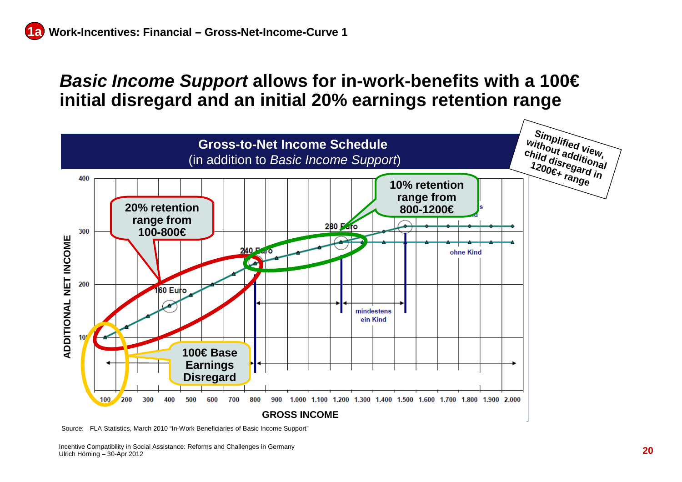#### **Basic Income Support allows for in-work-benefits with a 100€initial disregard and an initial 20% earnings retention range**



Source: FLA Statistics, March 2010 "In-Work Beneficiaries of Basic Income Support"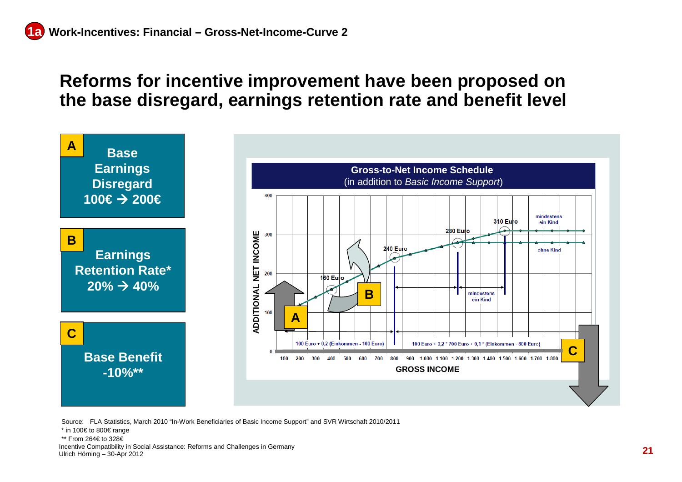#### **Reforms for incentive improvement have been proposed on the base disregard, earnings retention rate and benefit level**



Source: FLA Statistics, March 2010 "In-Work Beneficiaries of Basic Income Support" and SVR Wirtschaft 2010/2011

Incentive Compatibility in Social Assistance: Reforms and Challenges in Germany Ulrich Hörning – 30-Apr 2012

<sup>\*</sup> in 100€ to 800€ range

<sup>\*\*</sup> From 264€ to 328€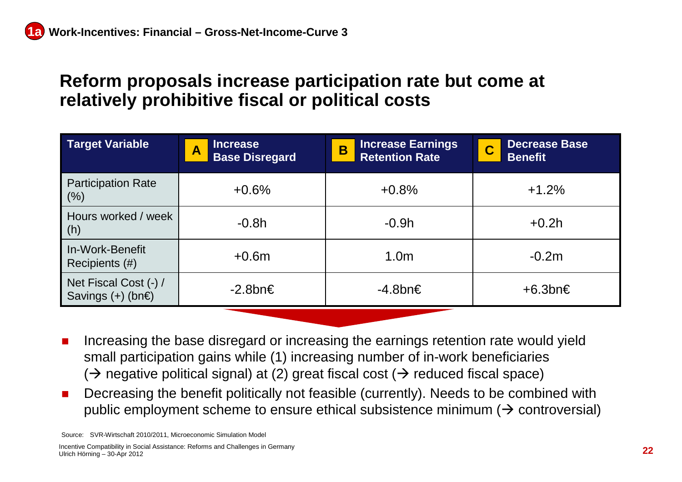#### **Reform proposals increase participation rate but come at relatively prohibitive fiscal or political costs**

| Target Variable                                    | <b>Increase</b><br>$\overline{\mathsf{A}}$<br><b>Base Disregard</b> | <b>Increase Earnings</b><br>B<br><b>Retention Rate</b> | <b>Decrease Base</b><br>$\overline{\mathbf{C}}$<br><b>Benefit</b> |
|----------------------------------------------------|---------------------------------------------------------------------|--------------------------------------------------------|-------------------------------------------------------------------|
| <b>Participation Rate</b><br>(%)                   | $+0.6%$                                                             | $+0.8%$                                                | $+1.2%$                                                           |
| Hours worked / week<br>$\mid$ (h)                  | $-0.8h$                                                             | $-0.9h$                                                | $+0.2h$                                                           |
| In-Work-Benefit<br>Recipients (#)                  | $+0.6m$                                                             | 1.0 <sub>m</sub>                                       | $-0.2m$                                                           |
| Net Fiscal Cost (-) /<br>Savings $(+)$ (bn $\in$ ) | $-2.8$ bn $\in$                                                     | -4.8bn€                                                | $+6.3$ bn $\in$                                                   |
|                                                    |                                                                     |                                                        |                                                                   |

- - Increasing the base disregard or increasing the earnings retention rate would yield small participation gains while (1) increasing number of in-work beneficiaries  $(\Rightarrow$  negative political signal) at (2) great fiscal cost ( $\Rightarrow$  reduced fiscal space)<br>Despecies the hangfit politically not faceible (symmath). Needs to be sambi
- - Decreasing the benefit politically not feasible (currently). Needs to be combined with public employment scheme to ensure ethical subsistence minimum ( $\bm{\rightarrow}$  controversial)

Source: SVR-Wirtschaft 2010/2011, Microeconomic Simulation Model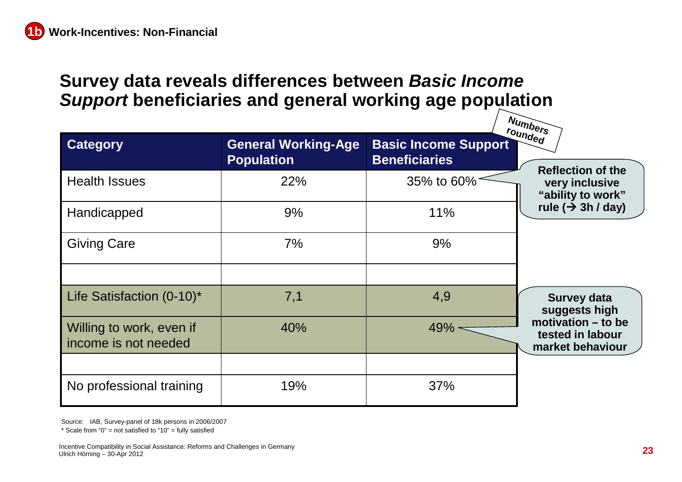## **Survey data reveals differences between Basic Income Support beneficiaries and general working age population**

|                                                  |                                                 |                                                     | Numbers                                                    |
|--------------------------------------------------|-------------------------------------------------|-----------------------------------------------------|------------------------------------------------------------|
| <b>Category</b>                                  | <b>General Working-Age</b><br><b>Population</b> | <b>Basic Income Support</b><br><b>Beneficiaries</b> | rounded<br><b>Reflection of the</b>                        |
| <b>Health Issues</b>                             | 22%                                             | 35% to 60%                                          | very inclusive<br>"ability to work"                        |
| Handicapped                                      | 9%                                              | 11%                                                 | rule $(\rightarrow 3h/day)$                                |
| <b>Giving Care</b>                               | 7%                                              | 9%                                                  |                                                            |
|                                                  |                                                 |                                                     |                                                            |
| Life Satisfaction (0-10)*                        | 7,1                                             | 4,9                                                 | <b>Survey data</b><br>suggests high                        |
| Willing to work, even if<br>income is not needed | 40%                                             | $49% -$                                             | motivation - to be<br>tested in labour<br>market behaviour |
|                                                  |                                                 |                                                     |                                                            |
| No professional training                         | 19%                                             | 37%                                                 |                                                            |

Source: IAB, Survey-panel of 18k persons in 2006/2007

 $*$  Scale from "0" = not satisfied to "10" = fully satisfied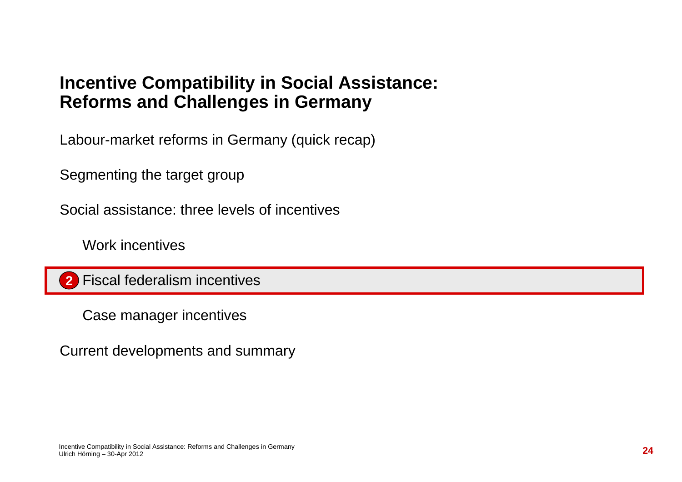Labour-market reforms in Germany (quick recap)

Segmenting the target group

Social assistance: three levels of incentives

Work incentives

Fiscal federalism incentives**2**

Case manager incentives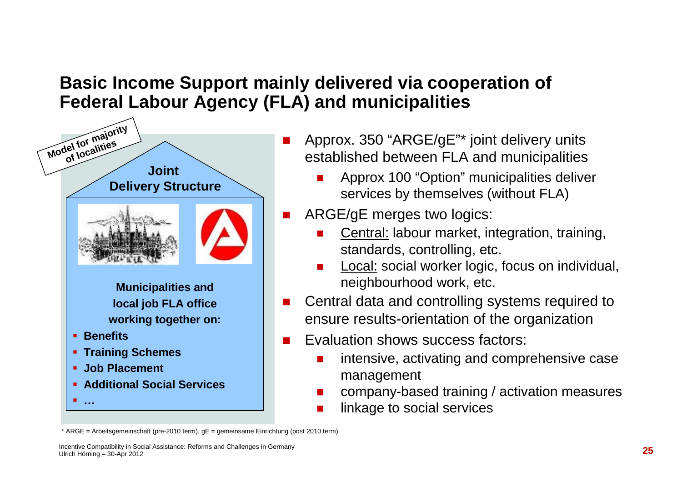### **Basic Income Support mainly delivered via cooperation of Federal Labour Agency (FLA) and municipalities**



- Approx. 350 "ARGE/gE"\* joint delivery units established between FLA and municipalities
	- - Approx 100 "Option" municipalities deliver services by themselves (without FLA)
- ARGE/gE merges two logics:
	- - Central: labour market, integration, training, standards, controlling, etc.
	- Local: social worker logic, focus on individual, neighbourhood work, etc.
- Central data and controlling systems required to ensure results-orientation of the organization
- Evaluation shows success factors:
	- intensive, activating and comprehensive case management
	- company-based training / activation measures
	- linkage to social services

<sup>\*</sup> ARGE = Arbeitsgemeinschaft (pre-2010 term), gE = gemeinsame Einrichtung (post 2010 term)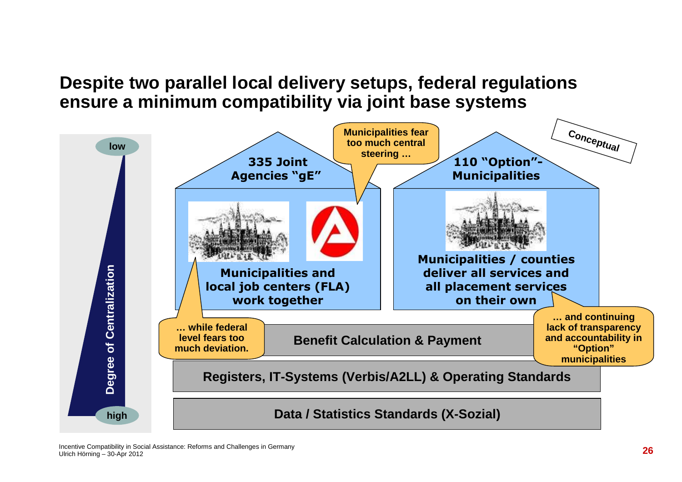#### **Despite two parallel local delivery setups, federal regulations ensure a minimum compatibility via joint base systems**

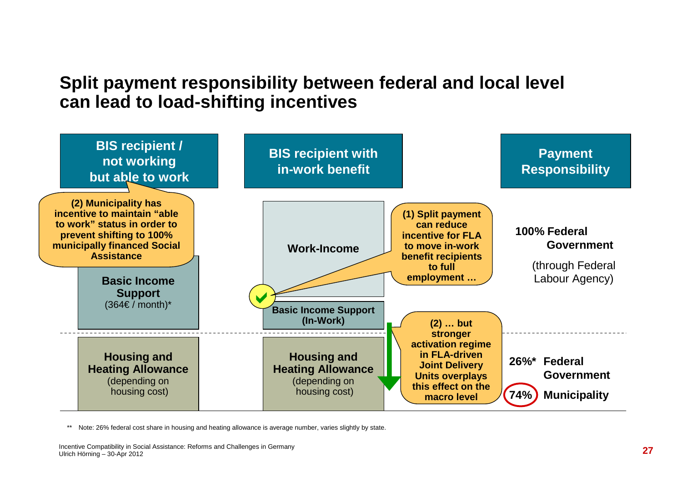### **Split payment responsibility between federal and local level can lead to load-shifting incentives**



Note: 26% federal cost share in housing and heating allowance is average number, varies slightly by state.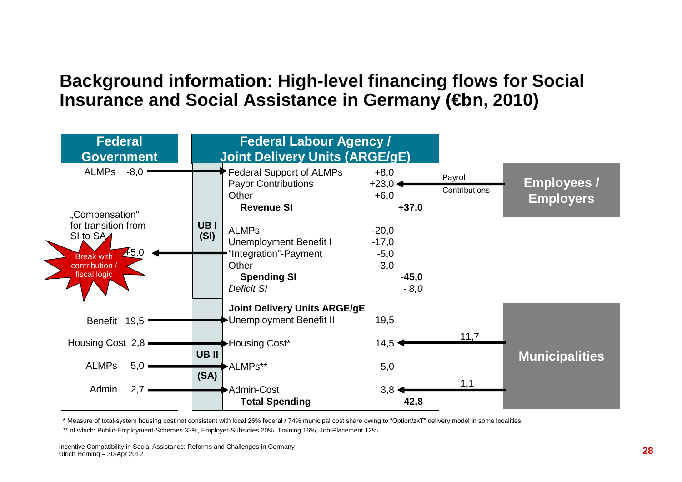#### **Background information: High-level financing flows for Social Insurance and Social Assistance in Germany (€bn, 2010)**



\* Measure of total-system housing cost not consistent with local 26% federal / 74% municipal cost share owing to "Option/zkT" delivery model in some localities

\*\* of which: Public-Employment-Schemes 33%, Employer-Subsidies 20%, Training 16%, Job-Placement 12%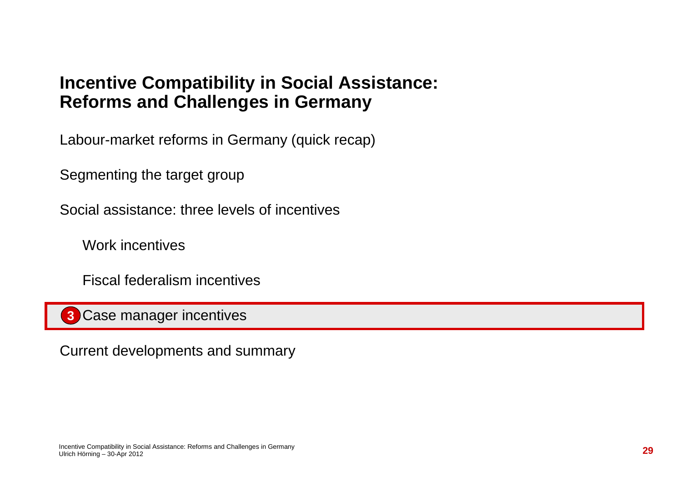Labour-market reforms in Germany (quick recap)

Segmenting the target group

Social assistance: three levels of incentives

Work incentives

Fiscal federalism incentives

Case manager incentives**3**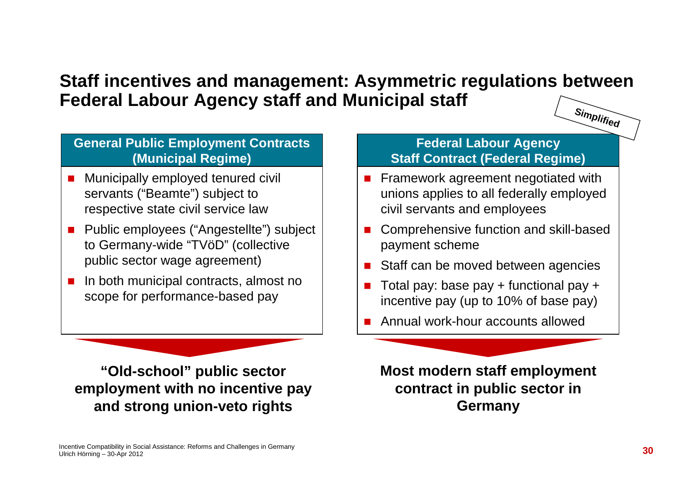#### **Staff incentives and management: Asymmetric regulations between Federal Labour Agency staff and Municipal staffSimplified**

#### **General Public Employment Contracts(Municipal Regime)**

- - Municipally employed tenured civil servants ("Beamte") subject to respective state civil service law
- Public employees ("Angestellte") subject to Germany-wide "TVöD" (collective public sector wage agreement)
- - In both municipal contracts, almost no scope for performance-based pay

**"Old-school" public sector employment with no incentive pay and strong union-veto rights**

#### **Federal Labour Agency Staff Contract (Federal Regime)**

- - Framework agreement negotiated with unions applies to all federally employed civil servants and employees
- - Comprehensive function and skill-based payment scheme
- -Staff can be moved between agencies
- - Total pay: base pay + functional pay + incentive pay (up to 10% of base pay)
- Annual work-hour accounts allowed

**Most modern staff employment contract in public sector in Germany**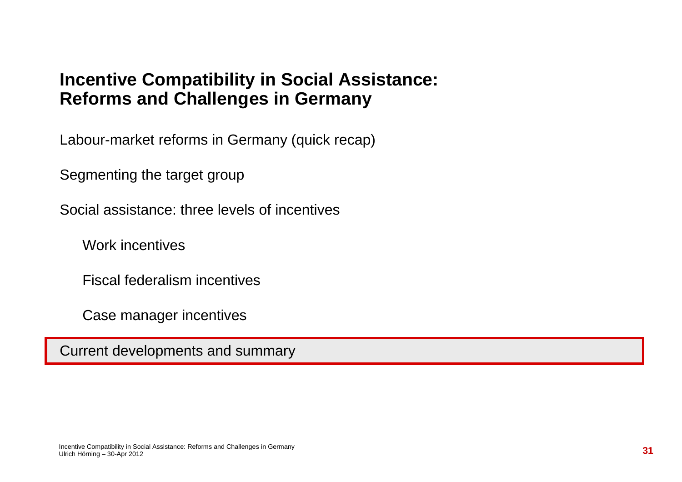Labour-market reforms in Germany (quick recap)

Segmenting the target group

Social assistance: three levels of incentives

Work incentives

Fiscal federalism incentives

Case manager incentives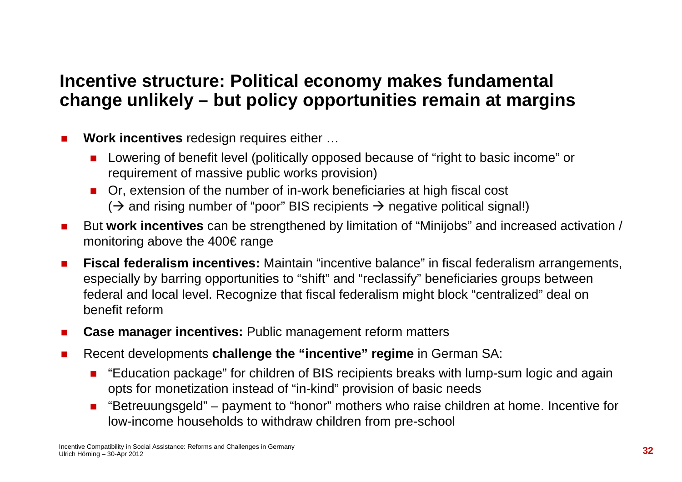### **Incentive structure: Political economy makes fundamental change unlikely – but policy opportunities remain at margins**

- - **Work incentives** redesign requires either …
	- **Lowering of benefit level (politically opposed because of "right to basic income" or** requirement of massive public works provision)
	- **n** Or, extension of the number of in-work beneficiaries at high fiscal cost  $(\Rightarrow$  and rising number of "poor" BIS recipients  $\Rightarrow$  negative political signal!)
- - But **work incentives** can be strengthened by limitation of "Minijobs" and increased activation / monitoring above the 400€ range
- - **Fiscal federalism incentives:** Maintain "incentive balance" in fiscal federalism arrangements, especially by barring opportunities to "shift" and "reclassify" beneficiaries groups between federal and local level. Recognize that fiscal federalism might block "centralized" deal on benefit reform
- -**Case manager incentives:** Public management reform matters
- - Recent developments **challenge the "incentive" regime** in German SA:
	- "Education package" for children of BIS recipients breaks with lump-sum logic and again opts for monetization instead of "in-kind" provision of basic needs
	- "Betreuungsgeld" payment to "honor" mothers who raise children at home. Incentive for low-income households to withdraw children from pre-school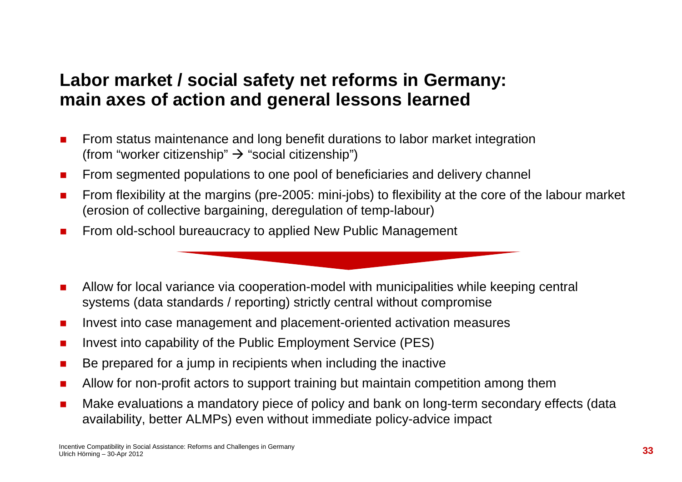### **Labor market / social safety net reforms in Germany:main axes of action and general lessons learned**

- - From status maintenance and long benefit durations to labor market integration (from "worker citizenship" → "social citizenship")<br>-
- -From segmented populations to one pool of beneficiaries and delivery channel
- - From flexibility at the margins (pre-2005: mini-jobs) to flexibility at the core of the labour market (erosion of collective bargaining, deregulation of temp-labour)
- -From old-school bureaucracy to applied New Public Management
- - Allow for local variance via cooperation-model with municipalities while keeping central systems (data standards / reporting) strictly central without compromise
- -Invest into case management and placement-oriented activation measures
- -Invest into capability of the Public Employment Service (PES)
- -Be prepared for a jump in recipients when including the inactive
- -Allow for non-profit actors to support training but maintain competition among them
- - Make evaluations a mandatory piece of policy and bank on long-term secondary effects (data availability, better ALMPs) even without immediate policy-advice impact